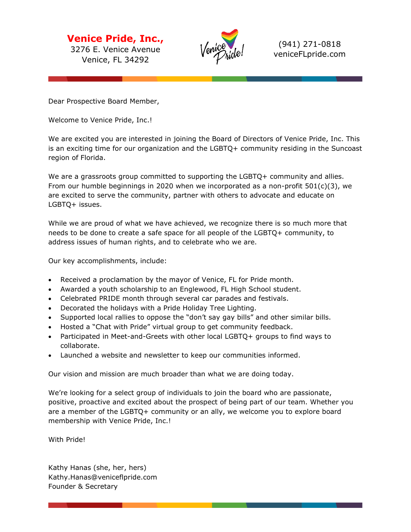**Venice Pride, Inc.,** 3276 E. Venice Avenue Venice, FL 34292



(941) 271-0818 veniceFLpride.com

Dear Prospective Board Member,

Welcome to Venice Pride, Inc.!

We are excited you are interested in joining the Board of Directors of Venice Pride, Inc. This is an exciting time for our organization and the LGBTQ+ community residing in the Suncoast region of Florida.

We are a grassroots group committed to supporting the LGBTQ+ community and allies. From our humble beginnings in 2020 when we incorporated as a non-profit  $501(c)(3)$ , we are excited to serve the community, partner with others to advocate and educate on LGBTQ+ issues.

While we are proud of what we have achieved, we recognize there is so much more that needs to be done to create a safe space for all people of the LGBTQ+ community, to address issues of human rights, and to celebrate who we are.

Our key accomplishments, include:

- Received a proclamation by the mayor of Venice, FL for Pride month.
- Awarded a youth scholarship to an Englewood, FL High School student.
- Celebrated PRIDE month through several car parades and festivals.
- Decorated the holidays with a Pride Holiday Tree Lighting.
- Supported local rallies to oppose the "don't say gay bills" and other similar bills.
- Hosted a "Chat with Pride" virtual group to get community feedback.
- Participated in Meet-and-Greets with other local LGBTQ+ groups to find ways to collaborate.
- Launched a website and newsletter to keep our communities informed.

Our vision and mission are much broader than what we are doing today.

We're looking for a select group of individuals to join the board who are passionate, positive, proactive and excited about the prospect of being part of our team. Whether you are a member of the LGBTQ+ community or an ally, we welcome you to explore board membership with Venice Pride, Inc.!

With Pride!

Kathy Hanas (she, her, hers) Kathy.Hanas@veniceflpride.com Founder & Secretary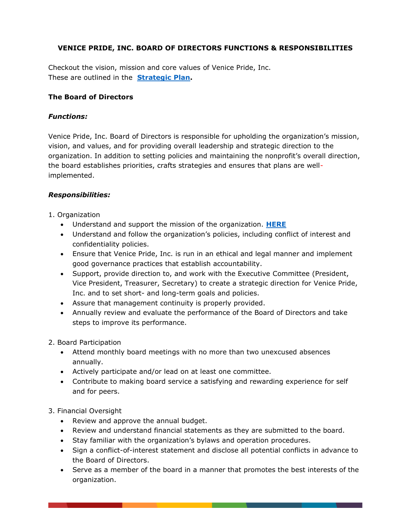# **VENICE PRIDE, INC. BOARD OF DIRECTORS FUNCTIONS & RESPONSIBILITIES**

Checkout the vision, mission and core values of Venice Pride, Inc. These are outlined in the **[Strategic Plan.](https://www.veniceflpride.com/copy-of-about-us)**

#### **The Board of Directors**

### *Functions:*

Venice Pride, Inc. Board of Directors is responsible for upholding the organization's mission, vision, and values, and for providing overall leadership and strategic direction to the organization. In addition to setting policies and maintaining the nonprofit's overall direction, the board establishes priorities, crafts strategies and ensures that plans are wellimplemented.

#### *Responsibilities:*

- 1. Organization
	- Understand and support the mission of the organization. **[HERE](https://www.veniceflpride.com/copy-of-about-us)**
	- Understand and follow the organization's policies, including conflict of interest and confidentiality policies.
	- Ensure that Venice Pride, Inc. is run in an ethical and legal manner and implement good governance practices that establish accountability.
	- Support, provide direction to, and work with the Executive Committee (President, Vice President, Treasurer, Secretary) to create a strategic direction for Venice Pride, Inc. and to set short- and long-term goals and policies.
	- Assure that management continuity is properly provided.
	- Annually review and evaluate the performance of the Board of Directors and take steps to improve its performance.
- 2. Board Participation
	- Attend monthly board meetings with no more than two unexcused absences annually.
	- Actively participate and/or lead on at least one committee.
	- Contribute to making board service a satisfying and rewarding experience for self and for peers.

#### 3. Financial Oversight

- Review and approve the annual budget.
- Review and understand financial statements as they are submitted to the board.
- Stay familiar with the organization's bylaws and operation procedures.
- Sign a conflict-of-interest statement and disclose all potential conflicts in advance to the Board of Directors.
- Serve as a member of the board in a manner that promotes the best interests of the organization.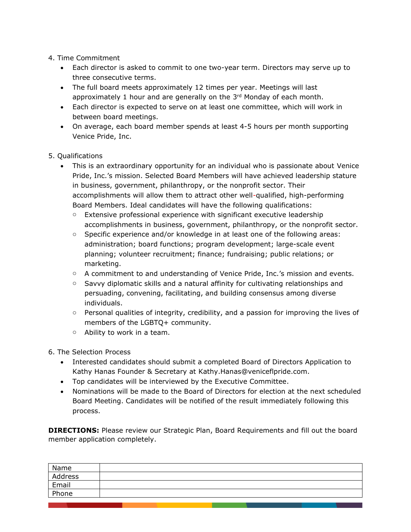## 4. Time Commitment

- Each director is asked to commit to one two-year term. Directors may serve up to three consecutive terms.
- The full board meets approximately 12 times per year. Meetings will last approximately 1 hour and are generally on the 3<sup>rd</sup> Monday of each month.
- Each director is expected to serve on at least one committee, which will work in between board meetings.
- On average, each board member spends at least 4-5 hours per month supporting Venice Pride, Inc.

### 5. Qualifications

- This is an extraordinary opportunity for an individual who is passionate about Venice Pride, Inc.'s mission. Selected Board Members will have achieved leadership stature in business, government, philanthropy, or the nonprofit sector. Their accomplishments will allow them to attract other well-qualified, high-performing Board Members. Ideal candidates will have the following qualifications:
	- $\circ$  Extensive professional experience with significant executive leadership accomplishments in business, government, philanthropy, or the nonprofit sector.
	- o Specific experience and/or knowledge in at least one of the following areas: administration; board functions; program development; large-scale event planning; volunteer recruitment; finance; fundraising; public relations; or marketing.
	- o A commitment to and understanding of Venice Pride, Inc.'s mission and events.
	- $\circ$  Savvy diplomatic skills and a natural affinity for cultivating relationships and persuading, convening, facilitating, and building consensus among diverse individuals.
	- o Personal qualities of integrity, credibility, and a passion for improving the lives of members of the LGBTQ+ community.
	- o Ability to work in a team.
- 6. The Selection Process
	- Interested candidates should submit a completed Board of Directors Application to Kathy Hanas Founder & Secretary at Kathy.Hanas@veniceflpride.com.
	- Top candidates will be interviewed by the Executive Committee.
	- Nominations will be made to the Board of Directors for election at the next scheduled Board Meeting. Candidates will be notified of the result immediately following this process.

**DIRECTIONS:** Please review our Strategic Plan, Board Requirements and fill out the board member application completely.

| Name    |  |
|---------|--|
| Address |  |
| Email   |  |
| Phone   |  |
|         |  |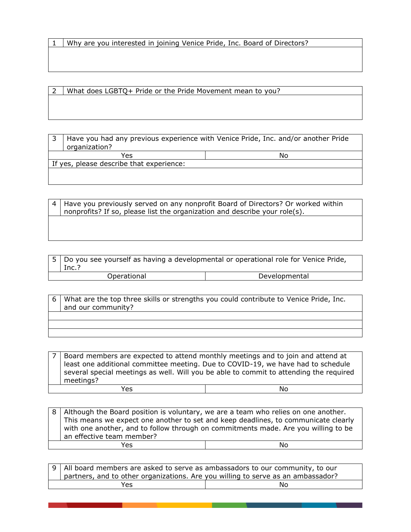1 Why are you interested in joining Venice Pride, Inc. Board of Directors?

2 What does LGBTQ+ Pride or the Pride Movement mean to you?

3 Have you had any previous experience with Venice Pride, Inc. and/or another Pride organization? Yes No If yes, please describe that experience:

| 4   Have you previously served on any nonprofit Board of Directors? Or worked within |
|--------------------------------------------------------------------------------------|
| nonprofits? If so, please list the organization and describe your role(s).           |
|                                                                                      |

| 5   Do you see yourself as having a developmental or operational role for Venice Pride,<br>Inc.? |               |
|--------------------------------------------------------------------------------------------------|---------------|
| Operational                                                                                      | Developmental |

6 What are the top three skills or strengths you could contribute to Venice Pride, Inc. and our community?

Board members are expected to attend monthly meetings and to join and attend at least one additional committee meeting. Due to COVID-19, we have had to schedule several special meetings as well. Will you be able to commit to attending the required meetings?

Yes No

8 | Although the Board position is voluntary, we are a team who relies on one another. This means we expect one another to set and keep deadlines, to communicate clearly with one another, and to follow through on commitments made. Are you willing to be an effective team member? Yes No. In the North State of the North State of the North State of the North State of the North State of the No

|            | $\mid$ 9 $\mid$ All board members are asked to serve as ambassadors to our community, to our<br>partners, and to other organizations. Are you willing to serve as an ambassador? |  |
|------------|----------------------------------------------------------------------------------------------------------------------------------------------------------------------------------|--|
| Yes.<br>No |                                                                                                                                                                                  |  |